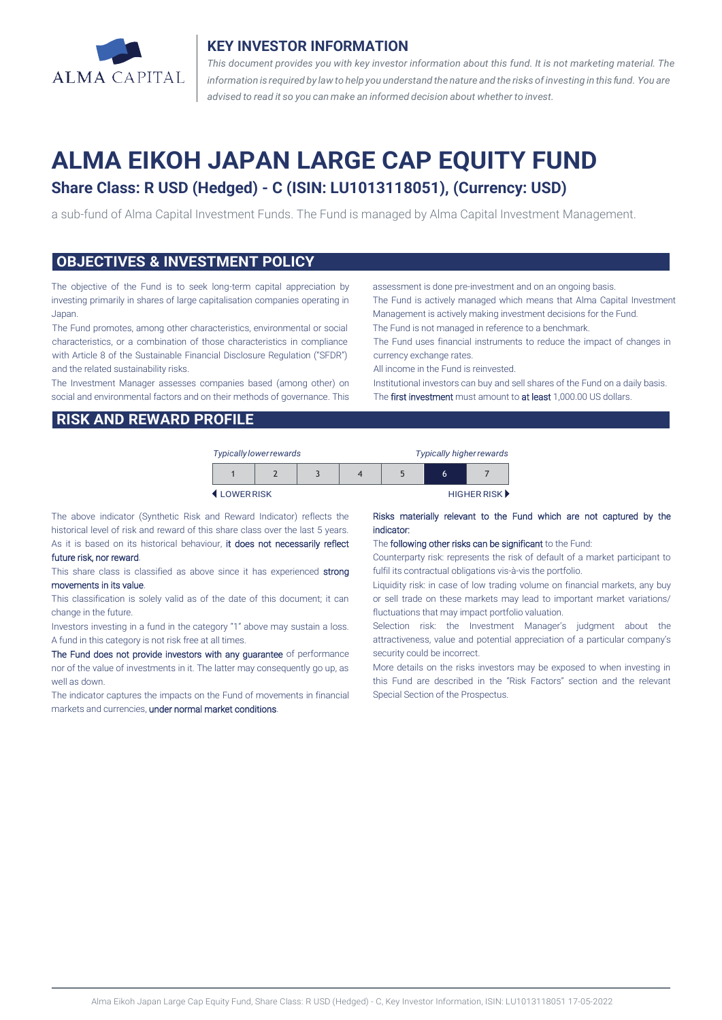

## **KEY INVESTOR INFORMATION**

*This document provides you with key investor information about this fund. It is not marketing material. The* information is required by law to help you understand the nature and the risks of investing in this fund. You are *advised to read it so you can make an informed decision about whether to invest.*

# **ALMA EIKOH JAPAN LARGE CAP EQUITY FUND**

# **Share Class: R USD (Hedged) - C (ISIN: LU1013118051), (Currency: USD)**

a sub-fund of Alma Capital Investment Funds. The Fund is managed by Alma Capital Investment Management.

### **OBJECTIVES & INVESTMENT POLICY**

The objective of the Fund is to seek long-term capital appreciation by investing primarily in shares of large capitalisation companies operating in Japan.

The Fund promotes, among other characteristics, environmental or social characteristics, or a combination of those characteristics in compliance with Article 8 of the Sustainable Financial Disclosure Regulation ("SFDR") and the related sustainability risks.

The Investment Manager assesses companies based (among other) on social and environmental factors and on their methods of governance. This

assessment is done pre-investment and on an ongoing basis.

The Fund is actively managed which means that Alma Capital Investment Management is actively making investment decisions for the Fund.

The Fund is not managed in reference to a benchmark.

The Fund uses financial instruments to reduce the impact of changes in currency exchange rates.

All income in the Fund is reinvested.

Institutional investors can buy and sell shares of the Fund on a daily basis. The first investment must amount to at least 1,000.00 US dollars.

# **RISK AND REWARD PROFILE**

| <b>Typically lower rewards</b> |  |  |  | Typically higher rewards |   |             |
|--------------------------------|--|--|--|--------------------------|---|-------------|
|                                |  |  |  |                          | 6 |             |
| <b>4</b> I OWERRISK            |  |  |  |                          |   | HIGHER RISK |

The above indicator (Synthetic Risk and Reward Indicator) reflects the historical level of risk and reward of this share class over the last 5 years. As it is based on its historical behaviour, it does not necessarily reflect

#### future risk, nor reward.

This share class is classified as above since it has experienced strong movements in its value.

This classification is solely valid as of the date of this document; it can change in the future.

Investors investing in a fund in the category "1" above may sustain a loss. A fund in this category is not risk free at all times.

The Fund does not provide investors with any guarantee of performance nor of the value of investments in it. The latter may consequently go up, as well as down.

The indicator captures the impacts on the Fund of movements in financial markets and currencies, under normal market conditions.

#### Risks materially relevant to the Fund which are not captured by the indicator:

#### The following other risks can be significant to the Fund:

Counterparty risk: represents the risk of default of a market participant to fulfil its contractual obligations vis-à-vis the portfolio.

Liquidity risk: in case of low trading volume on financial markets, any buy or sell trade on these markets may lead to important market variations/ fluctuations that may impact portfolio valuation.

Selection risk: the Investment Manager's judgment about the attractiveness, value and potential appreciation of a particular company's security could be incorrect.

More details on the risks investors may be exposed to when investing in this Fund are described in the "Risk Factors" section and the relevant Special Section of the Prospectus.